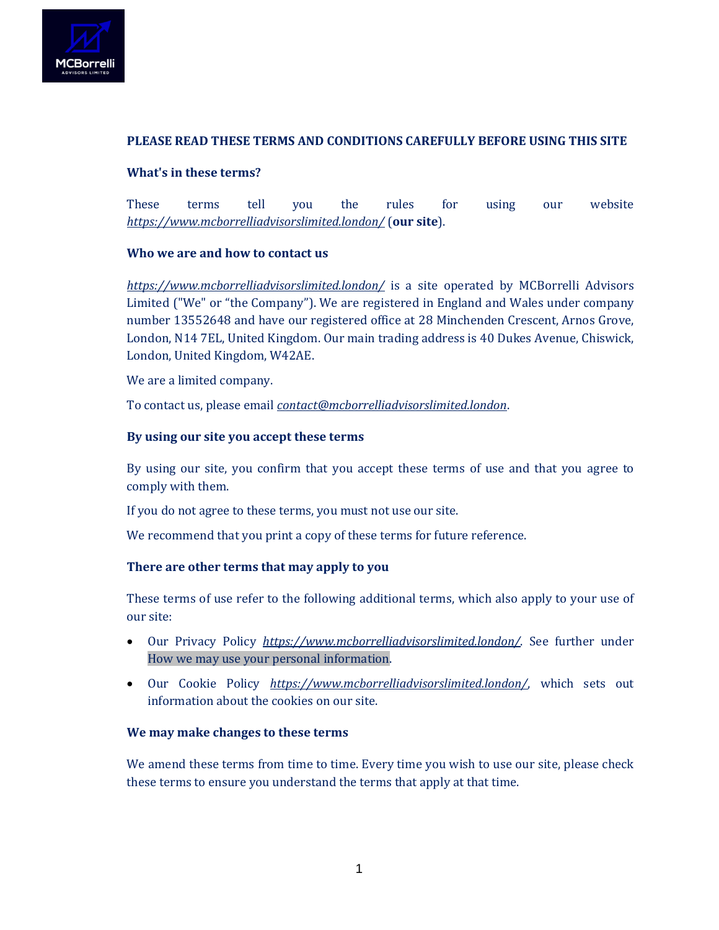

## **PLEASE READ THESE TERMS AND CONDITIONS CAREFULLY BEFORE USING THIS SITE**

## **What's in these terms?**

These terms tell you the rules for using our website *<https://www.mcborrelliadvisorslimited.london/>* (**our site**).

### **Who we are and how to contact us**

*<https://www.mcborrelliadvisorslimited.london/>* is a site operated by MCBorrelli Advisors Limited ("We" or "the Company"). We are registered in England and Wales under company number 13552648 and have our registered office at 28 Minchenden Crescent, Arnos Grove, London, N14 7EL, United Kingdom. Our main trading address is 40 Dukes Avenue, Chiswick, London, United Kingdom, W42AE.

We are a limited company.

To contact us, please email *[contact@mcborrelliadvisorslimited.london](mailto:contact@mcborrelliadvisorslimited.london)*.

### **By using our site you accept these terms**

By using our site, you confirm that you accept these terms of use and that you agree to comply with them.

If you do not agree to these terms, you must not use our site.

We recommend that you print a copy of these terms for future reference.

# **There are other terms that may apply to you**

These terms of use refer to the following additional terms, which also apply to your use of our site:

- Our Privacy Policy *<https://www.mcborrelliadvisorslimited.london/>*. See further under [How we may use your personal information.](#page-4-0)
- Our Cookie Policy *<https://www.mcborrelliadvisorslimited.london/>*, which sets out information about the cookies on our site.

### **We may make changes to these terms**

We amend these terms from time to time. Every time you wish to use our site, please check these terms to ensure you understand the terms that apply at that time.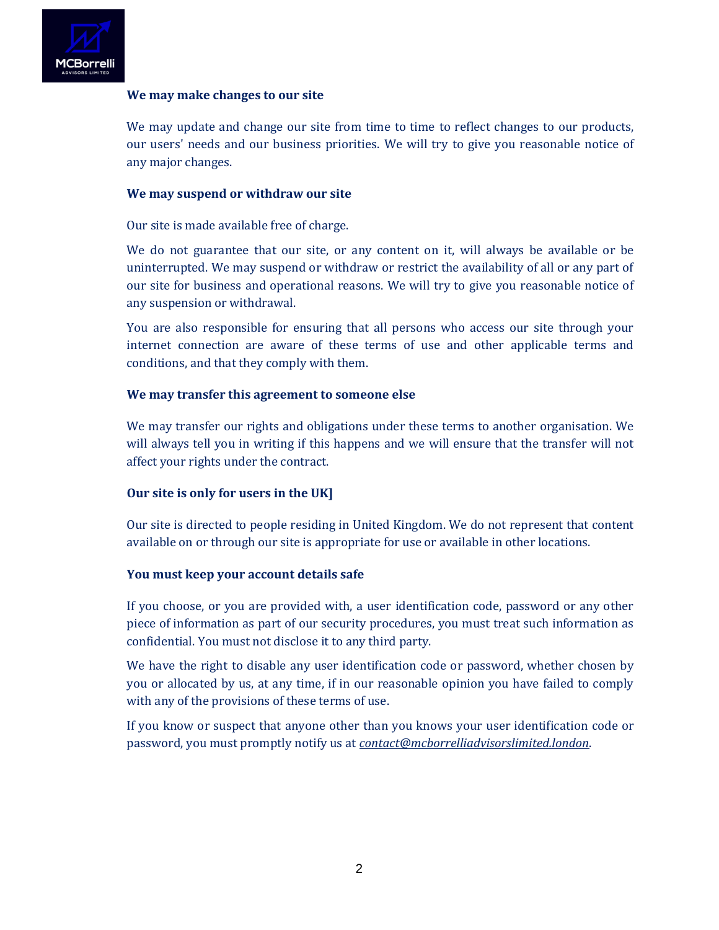

## **We may make changes to our site**

We may update and change our site from time to time to reflect changes to our products, our users' needs and our business priorities. We will try to give you reasonable notice of any major changes.

## **We may suspend or withdraw our site**

Our site is made available free of charge.

We do not guarantee that our site, or any content on it, will always be available or be uninterrupted. We may suspend or withdraw or restrict the availability of all or any part of our site for business and operational reasons. We will try to give you reasonable notice of any suspension or withdrawal.

You are also responsible for ensuring that all persons who access our site through your internet connection are aware of these terms of use and other applicable terms and conditions, and that they comply with them.

# **We may transfer this agreement to someone else**

We may transfer our rights and obligations under these terms to another organisation. We will always tell you in writing if this happens and we will ensure that the transfer will not affect your rights under the contract.

# **Our site is only for users in the UK]**

Our site is directed to people residing in United Kingdom. We do not represent that content available on or through our site is appropriate for use or available in other locations.

### **You must keep your account details safe**

If you choose, or you are provided with, a user identification code, password or any other piece of information as part of our security procedures, you must treat such information as confidential. You must not disclose it to any third party.

We have the right to disable any user identification code or password, whether chosen by you or allocated by us, at any time, if in our reasonable opinion you have failed to comply with any of the provisions of these terms of use.

If you know or suspect that anyone other than you knows your user identification code or password, you must promptly notify us at *[contact@mcborrelliadvisorslimited.london](mailto:contact@mcborrelliadvisorslimited.london)*.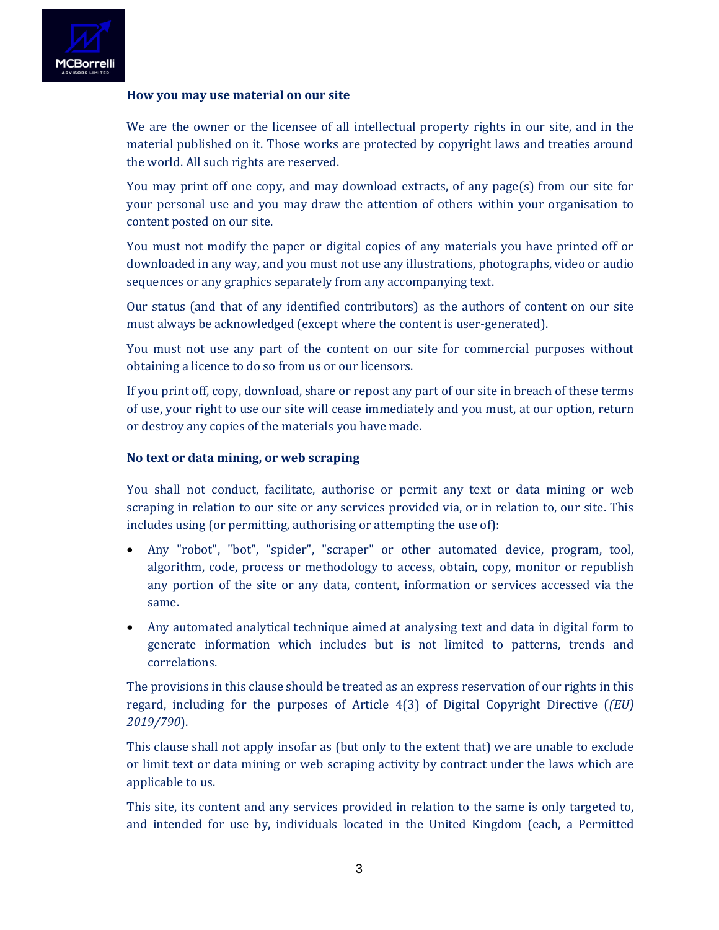

## **How you may use material on our site**

We are the owner or the licensee of all intellectual property rights in our site, and in the material published on it. Those works are protected by copyright laws and treaties around the world. All such rights are reserved.

You may print off one copy, and may download extracts, of any page(s) from our site for your personal use and you may draw the attention of others within your organisation to content posted on our site.

You must not modify the paper or digital copies of any materials you have printed off or downloaded in any way, and you must not use any illustrations, photographs, video or audio sequences or any graphics separately from any accompanying text.

Our status (and that of any identified contributors) as the authors of content on our site must always be acknowledged (except where the content is user-generated).

You must not use any part of the content on our site for commercial purposes without obtaining a licence to do so from us or our licensors.

If you print off, copy, download, share or repost any part of our site in breach of these terms of use, your right to use our site will cease immediately and you must, at our option, return or destroy any copies of the materials you have made.

# **No text or data mining, or web scraping**

You shall not conduct, facilitate, authorise or permit any text or data mining or web scraping in relation to our site or any services provided via, or in relation to, our site. This includes using (or permitting, authorising or attempting the use of):

- Any "robot", "bot", "spider", "scraper" or other automated device, program, tool, algorithm, code, process or methodology to access, obtain, copy, monitor or republish any portion of the site or any data, content, information or services accessed via the same.
- Any automated analytical technique aimed at analysing text and data in digital form to generate information which includes but is not limited to patterns, trends and correlations.

The provisions in this clause should be treated as an express reservation of our rights in this regard, including for the purposes of Article 4(3) of Digital Copyright Directive (*(EU) 2019/790*).

This clause shall not apply insofar as (but only to the extent that) we are unable to exclude or limit text or data mining or web scraping activity by contract under the laws which are applicable to us.

This site, its content and any services provided in relation to the same is only targeted to, and intended for use by, individuals located in the United Kingdom (each, a Permitted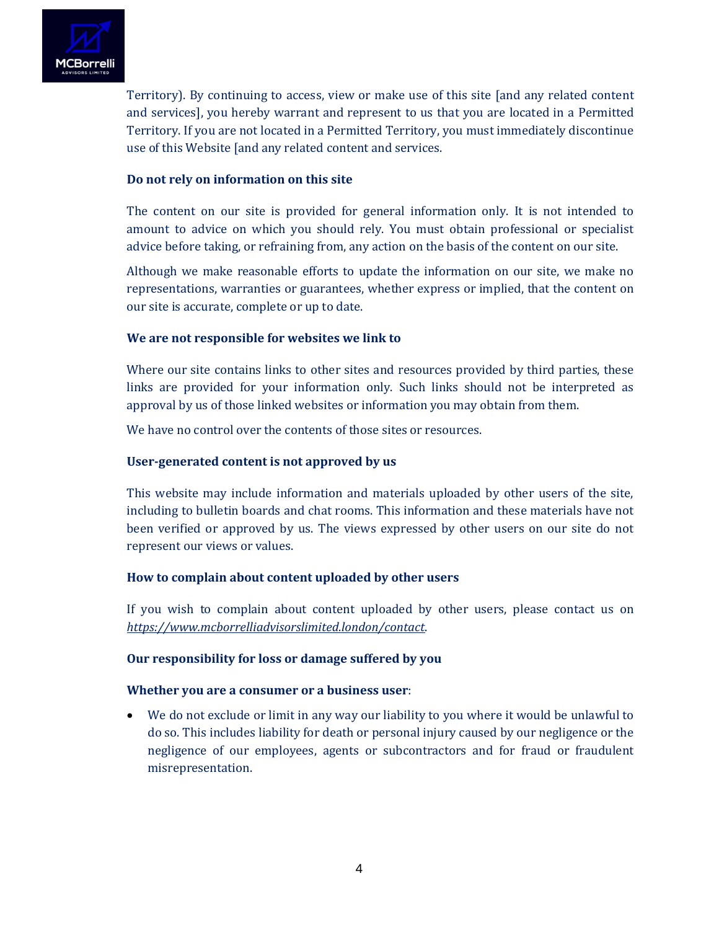

Territory). By continuing to access, view or make use of this site [and any related content and services], you hereby warrant and represent to us that you are located in a Permitted Territory. If you are not located in a Permitted Territory, you must immediately discontinue use of this Website [and any related content and services.

# **Do not rely on information on this site**

The content on our site is provided for general information only. It is not intended to amount to advice on which you should rely. You must obtain professional or specialist advice before taking, or refraining from, any action on the basis of the content on our site.

Although we make reasonable efforts to update the information on our site, we make no representations, warranties or guarantees, whether express or implied, that the content on our site is accurate, complete or up to date.

# **We are not responsible for websites we link to**

Where our site contains links to other sites and resources provided by third parties, these links are provided for your information only. Such links should not be interpreted as approval by us of those linked websites or information you may obtain from them.

We have no control over the contents of those sites or resources.

# **User-generated content is not approved by us**

This website may include information and materials uploaded by other users of the site, including to bulletin boards and chat rooms. This information and these materials have not been verified or approved by us. The views expressed by other users on our site do not represent our views or values.

### **How to complain about content uploaded by other users**

If you wish to complain about content uploaded by other users, please contact us on *<https://www.mcborrelliadvisorslimited.london/contact>*.

### **Our responsibility for loss or damage suffered by you**

### **Whether you are a consumer or a business user**:

• We do not exclude or limit in any way our liability to you where it would be unlawful to do so. This includes liability for death or personal injury caused by our negligence or the negligence of our employees, agents or subcontractors and for fraud or fraudulent misrepresentation.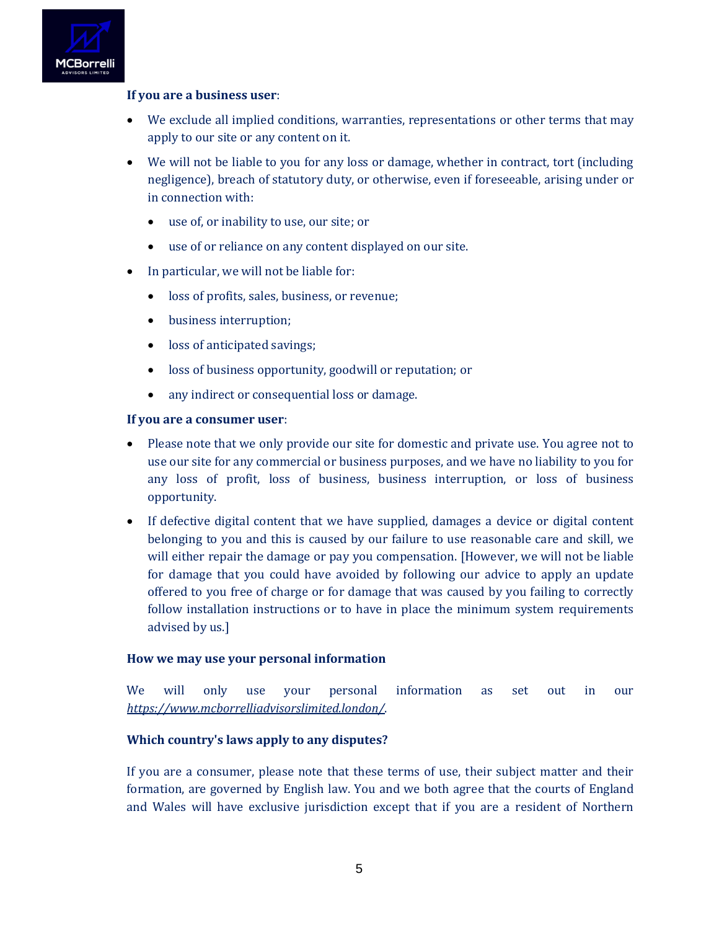

## **If you are a business user**:

- We exclude all implied conditions, warranties, representations or other terms that may apply to our site or any content on it.
- We will not be liable to you for any loss or damage, whether in contract, tort (including negligence), breach of statutory duty, or otherwise, even if foreseeable, arising under or in connection with:
	- use of, or inability to use, our site; or
	- use of or reliance on any content displayed on our site.
- In particular, we will not be liable for:
	- loss of profits, sales, business, or revenue;
	- business interruption;
	- loss of anticipated savings;
	- loss of business opportunity, goodwill or reputation; or
	- any indirect or consequential loss or damage.

### **If you are a consumer user**:

- Please note that we only provide our site for domestic and private use. You agree not to use our site for any commercial or business purposes, and we have no liability to you for any loss of profit, loss of business, business interruption, or loss of business opportunity.
- If defective digital content that we have supplied, damages a device or digital content belonging to you and this is caused by our failure to use reasonable care and skill, we will either repair the damage or pay you compensation. [However, we will not be liable for damage that you could have avoided by following our advice to apply an update offered to you free of charge or for damage that was caused by you failing to correctly follow installation instructions or to have in place the minimum system requirements advised by us.]

### <span id="page-4-0"></span>**How we may use your personal information**

We will only use your personal information as set out in our *<https://www.mcborrelliadvisorslimited.london/>*.

### **Which country's laws apply to any disputes?**

If you are a consumer, please note that these terms of use, their subject matter and their formation, are governed by English law. You and we both agree that the courts of England and Wales will have exclusive jurisdiction except that if you are a resident of Northern